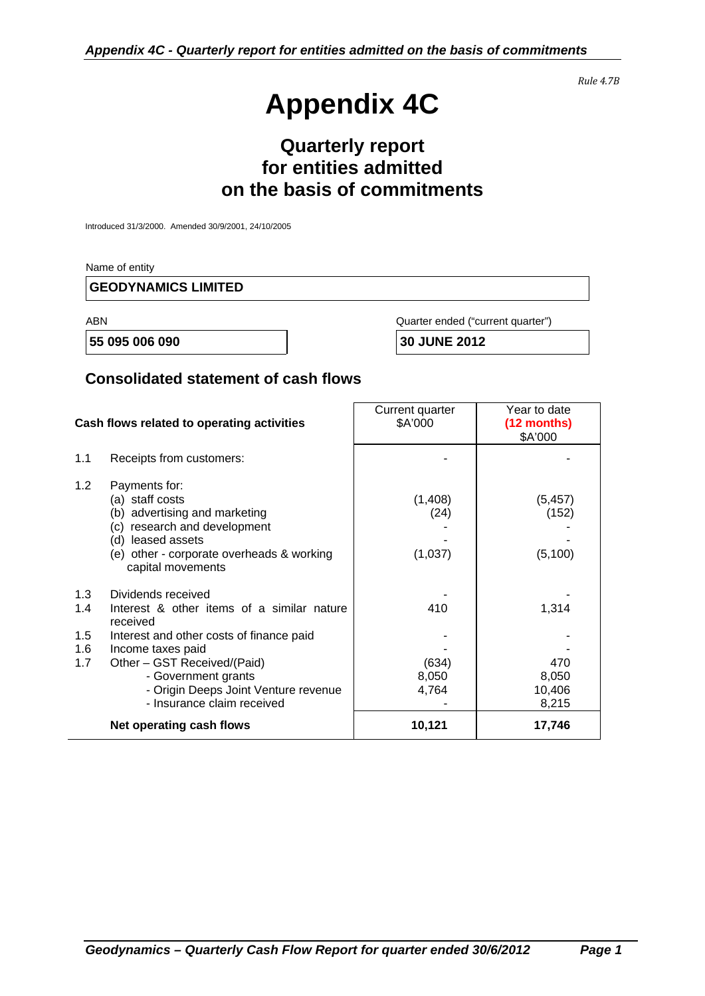# **Appendix 4C**

*Rule 4.7B*

## **Quarterly report for entities admitted on the basis of commitments**

Introduced 31/3/2000. Amended 30/9/2001, 24/10/2005

Name of entity

#### **GEODYNAMICS LIMITED**

ABN Quarter ended ("current quarter")

 **55 095 006 090 30 JUNE 2012** 

#### **Consolidated statement of cash flows**

| Cash flows related to operating activities |                                                                                                                                                                                             | Current quarter<br>\$A'000 | Year to date<br>(12 months)<br>\$A'000 |
|--------------------------------------------|---------------------------------------------------------------------------------------------------------------------------------------------------------------------------------------------|----------------------------|----------------------------------------|
| 1.1                                        | Receipts from customers:                                                                                                                                                                    |                            |                                        |
| 1.2                                        | Payments for:<br>(a) staff costs<br>(b) advertising and marketing<br>research and development<br>(c)<br>(d) leased assets<br>(e) other - corporate overheads & working<br>capital movements | (1,408)<br>(24)<br>(1,037) | (5, 457)<br>(152)<br>(5, 100)          |
| 1.3<br>1.4                                 | Dividends received<br>Interest & other items of a similar nature<br>received                                                                                                                | 410                        | 1,314                                  |
| 1.5<br>1.6<br>1.7                          | Interest and other costs of finance paid<br>Income taxes paid<br>Other - GST Received/(Paid)<br>- Government grants<br>- Origin Deeps Joint Venture revenue<br>- Insurance claim received   | (634)<br>8,050<br>4,764    | 470<br>8,050<br>10,406<br>8,215        |
|                                            | Net operating cash flows                                                                                                                                                                    | 10,121                     | 17,746                                 |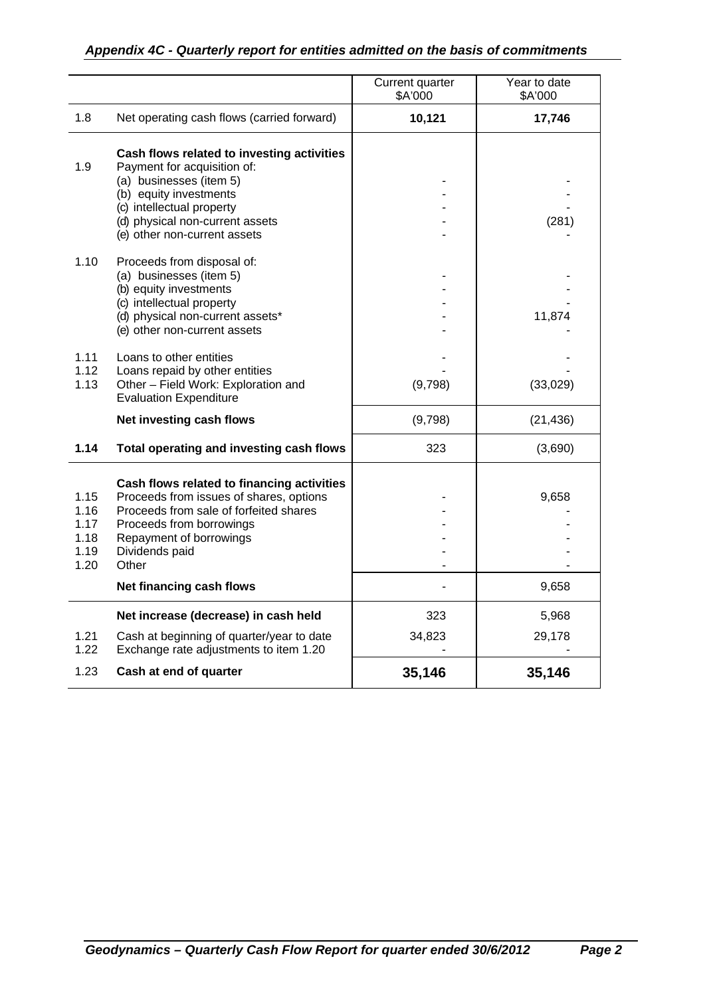#### *Appendix 4C - Quarterly report for entities admitted on the basis of commitments*

|                                              |                                                                                                                                                                                                                                               | Current quarter<br>\$A'000 | Year to date<br>\$A'000 |
|----------------------------------------------|-----------------------------------------------------------------------------------------------------------------------------------------------------------------------------------------------------------------------------------------------|----------------------------|-------------------------|
| 1.8                                          | Net operating cash flows (carried forward)                                                                                                                                                                                                    | 10,121                     | 17,746                  |
| 1.9                                          | Cash flows related to investing activities<br>Payment for acquisition of:<br>(a) businesses (item 5)<br>(b) equity investments<br>(c) intellectual property<br>(d) physical non-current assets<br>(e) other non-current assets                |                            | (281)                   |
| 1.10                                         | Proceeds from disposal of:<br>(a) businesses (item 5)<br>(b) equity investments<br>(c) intellectual property<br>(d) physical non-current assets*<br>(e) other non-current assets                                                              |                            | 11,874                  |
| 1.11<br>1.12<br>1.13                         | Loans to other entities<br>Loans repaid by other entities<br>Other - Field Work: Exploration and<br><b>Evaluation Expenditure</b>                                                                                                             | (9,798)                    | (33,029)                |
|                                              | Net investing cash flows                                                                                                                                                                                                                      | (9,798)                    | (21, 436)               |
| 1.14                                         | Total operating and investing cash flows                                                                                                                                                                                                      | 323                        | (3,690)                 |
| 1.15<br>1.16<br>1.17<br>1.18<br>1.19<br>1.20 | Cash flows related to financing activities<br>Proceeds from issues of shares, options<br>Proceeds from sale of forfeited shares<br>Proceeds from borrowings<br>Repayment of borrowings<br>Dividends paid<br>Other<br>Net financing cash flows |                            | 9,658<br>9,658          |
|                                              | Net increase (decrease) in cash held                                                                                                                                                                                                          | 323                        | 5,968                   |
| 1.21<br>1.22                                 | Cash at beginning of quarter/year to date<br>Exchange rate adjustments to item 1.20                                                                                                                                                           | 34,823                     | 29,178                  |
| 1.23                                         | Cash at end of quarter                                                                                                                                                                                                                        | 35,146                     | 35,146                  |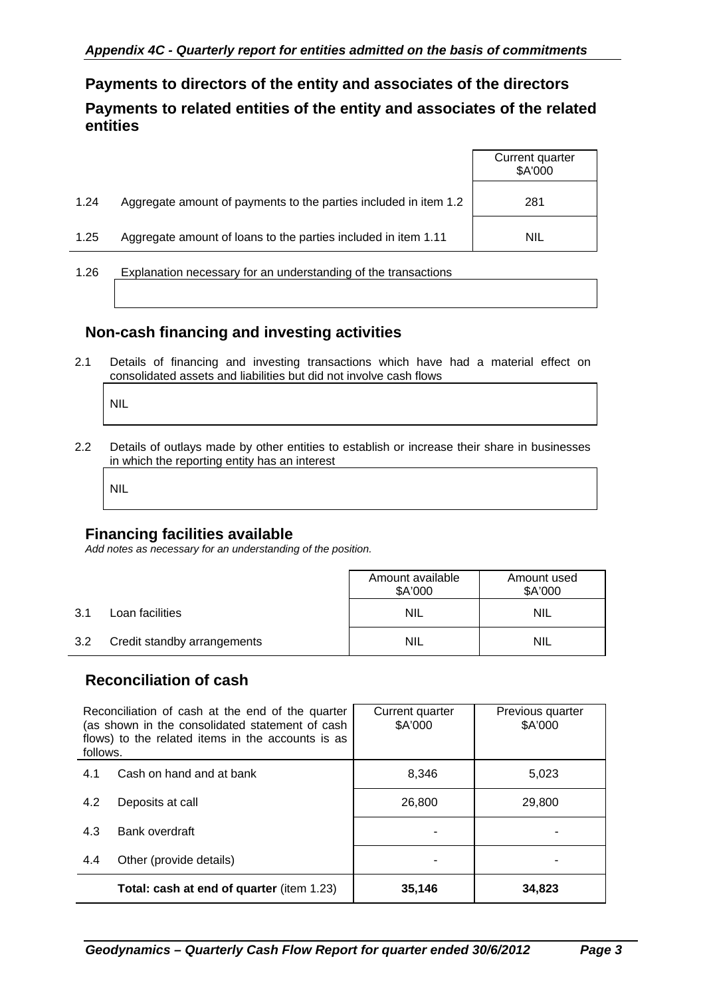**Payments to directors of the entity and associates of the directors Payments to related entities of the entity and associates of the related entities** 

|      |                                                                  | Current quarter<br>\$A'000 |
|------|------------------------------------------------------------------|----------------------------|
| 1.24 | Aggregate amount of payments to the parties included in item 1.2 | 281                        |
| 1.25 | Aggregate amount of loans to the parties included in item 1.11   | <b>NIL</b>                 |
| 1.26 | Explanation necessary for an understanding of the transactions   |                            |

### **Non-cash financing and investing activities**

2.1 Details of financing and investing transactions which have had a material effect on consolidated assets and liabilities but did not involve cash flows

NIL

2.2 Details of outlays made by other entities to establish or increase their share in businesses in which the reporting entity has an interest

NIL

#### **Financing facilities available**

*Add notes as necessary for an understanding of the position.* 

|     |                             | Amount available<br>\$A'000 | Amount used<br>\$A'000 |
|-----|-----------------------------|-----------------------------|------------------------|
| 3.1 | Loan facilities             | <b>NIL</b>                  | <b>NIL</b>             |
| 3.2 | Credit standby arrangements | <b>NIL</b>                  | <b>NIL</b>             |

#### **Reconciliation of cash**

| Reconciliation of cash at the end of the quarter<br>(as shown in the consolidated statement of cash<br>flows) to the related items in the accounts is as<br>follows. |                                                  | Current quarter<br>\$A'000 | Previous quarter<br>\$A'000 |
|----------------------------------------------------------------------------------------------------------------------------------------------------------------------|--------------------------------------------------|----------------------------|-----------------------------|
| 4.1                                                                                                                                                                  | Cash on hand and at bank                         | 8,346                      | 5,023                       |
| 4.2                                                                                                                                                                  | Deposits at call                                 | 26,800                     | 29,800                      |
| 4.3                                                                                                                                                                  | Bank overdraft                                   |                            |                             |
| 4.4                                                                                                                                                                  | Other (provide details)                          |                            |                             |
|                                                                                                                                                                      | <b>Total: cash at end of quarter (item 1.23)</b> | 35,146                     | 34,823                      |